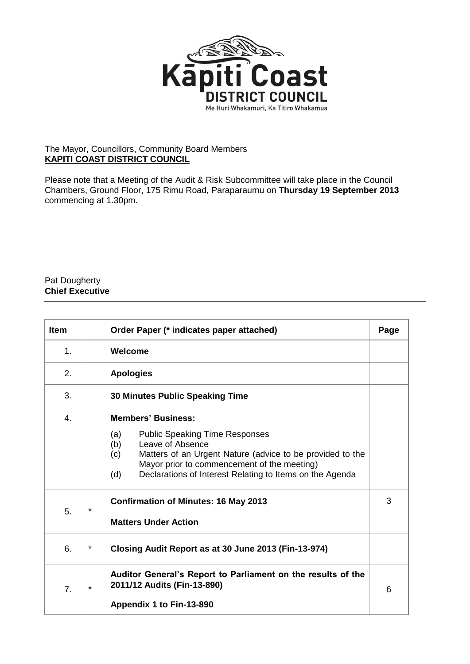

## The Mayor, Councillors, Community Board Members **KAPITI COAST DISTRICT COUNCIL**

Please note that a Meeting of the Audit & Risk Subcommittee will take place in the Council Chambers, Ground Floor, 175 Rimu Road, Paraparaumu on **Thursday 19 September 2013** commencing at 1.30pm.

## Pat Dougherty **Chief Executive**

| <b>Item</b> | Order Paper (* indicates paper attached)                                                                                                                                                                                                                                                   |  |  |  |
|-------------|--------------------------------------------------------------------------------------------------------------------------------------------------------------------------------------------------------------------------------------------------------------------------------------------|--|--|--|
| 1.          | Welcome                                                                                                                                                                                                                                                                                    |  |  |  |
| 2.          | <b>Apologies</b>                                                                                                                                                                                                                                                                           |  |  |  |
| 3.          | <b>30 Minutes Public Speaking Time</b>                                                                                                                                                                                                                                                     |  |  |  |
| 4.          | <b>Members' Business:</b><br><b>Public Speaking Time Responses</b><br>(a)<br>(b)<br>Leave of Absence<br>Matters of an Urgent Nature (advice to be provided to the<br>(c)<br>Mayor prior to commencement of the meeting)<br>Declarations of Interest Relating to Items on the Agenda<br>(d) |  |  |  |
| 5.          | <b>Confirmation of Minutes: 16 May 2013</b><br>$\star$<br><b>Matters Under Action</b>                                                                                                                                                                                                      |  |  |  |
| 6.          | $\star$<br>Closing Audit Report as at 30 June 2013 (Fin-13-974)                                                                                                                                                                                                                            |  |  |  |
| 7.          | Auditor General's Report to Parliament on the results of the<br>2011/12 Audits (Fin-13-890)<br>$\star$<br>Appendix 1 to Fin-13-890                                                                                                                                                         |  |  |  |